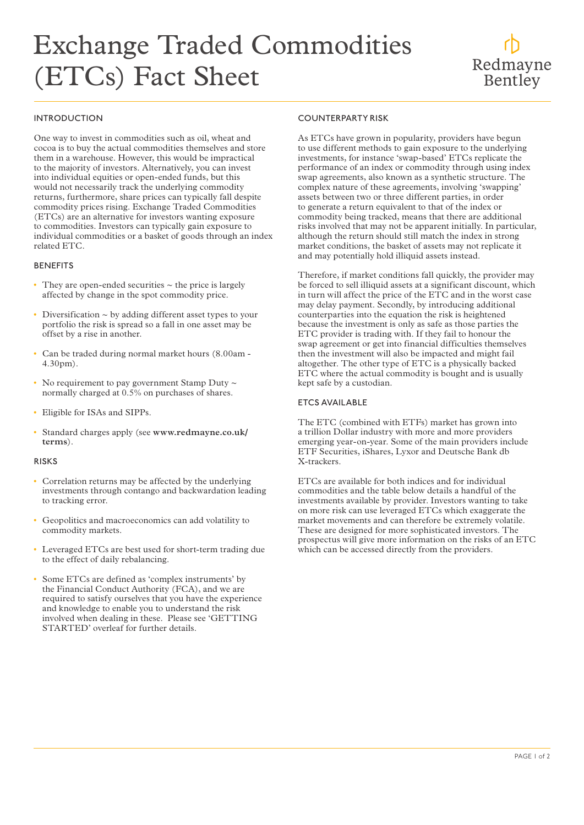# Exchange Traded Commodities (ETCs) Fact Sheet

## Redmayne Bentley

### INTRODUCTION

One way to invest in commodities such as oil, wheat and cocoa is to buy the actual commodities themselves and store them in a warehouse. However, this would be impractical to the majority of investors. Alternatively, you can invest into individual equities or open-ended funds, but this would not necessarily track the underlying commodity returns, furthermore, share prices can typically fall despite commodity prices rising. Exchange Traded Commodities (ETCs) are an alternative for investors wanting exposure to commodities. Investors can typically gain exposure to individual commodities or a basket of goods through an index related ETC.

#### **BENEFITS**

- They are open-ended securities  $\sim$  the price is largely affected by change in the spot commodity price.
- Diversification  $\sim$  by adding different asset types to your portfolio the risk is spread so a fall in one asset may be offset by a rise in another.
- Can be traded during normal market hours (8.00am 4.30pm).
- No requirement to pay government Stamp Duty  $\sim$ normally charged at 0.5% on purchases of shares.
- Eligible for ISAs and SIPPs.
- Standard charges apply (see **www.redmayne.co.uk/ terms**).

#### RISKS

- Correlation returns may be affected by the underlying investments through contango and backwardation leading to tracking error.
- Geopolitics and macroeconomics can add volatility to commodity markets.
- Leveraged ETCs are best used for short-term trading due to the effect of daily rebalancing.
- Some ETCs are defined as 'complex instruments' by the Financial Conduct Authority (FCA), and we are required to satisfy ourselves that you have the experience and knowledge to enable you to understand the risk involved when dealing in these. Please see 'GETTING STARTED' overleaf for further details.

#### COUNTERPARTY RISK

As ETCs have grown in popularity, providers have begun to use different methods to gain exposure to the underlying investments, for instance 'swap-based' ETCs replicate the performance of an index or commodity through using index swap agreements, also known as a synthetic structure. The complex nature of these agreements, involving 'swapping' assets between two or three different parties, in order to generate a return equivalent to that of the index or commodity being tracked, means that there are additional risks involved that may not be apparent initially. In particular, although the return should still match the index in strong market conditions, the basket of assets may not replicate it and may potentially hold illiquid assets instead.

Therefore, if market conditions fall quickly, the provider may be forced to sell illiquid assets at a significant discount, which in turn will affect the price of the ETC and in the worst case may delay payment. Secondly, by introducing additional counterparties into the equation the risk is heightened because the investment is only as safe as those parties the ETC provider is trading with. If they fail to honour the swap agreement or get into financial difficulties themselves then the investment will also be impacted and might fail altogether. The other type of ETC is a physically backed ETC where the actual commodity is bought and is usually kept safe by a custodian.

#### ETCS AVAILABLE

The ETC (combined with ETFs) market has grown into a trillion Dollar industry with more and more providers emerging year-on-year. Some of the main providers include ETF Securities, iShares, Lyxor and Deutsche Bank db X-trackers.

ETCs are available for both indices and for individual commodities and the table below details a handful of the investments available by provider. Investors wanting to take on more risk can use leveraged ETCs which exaggerate the market movements and can therefore be extremely volatile. These are designed for more sophisticated investors. The prospectus will give more information on the risks of an ETC which can be accessed directly from the providers.